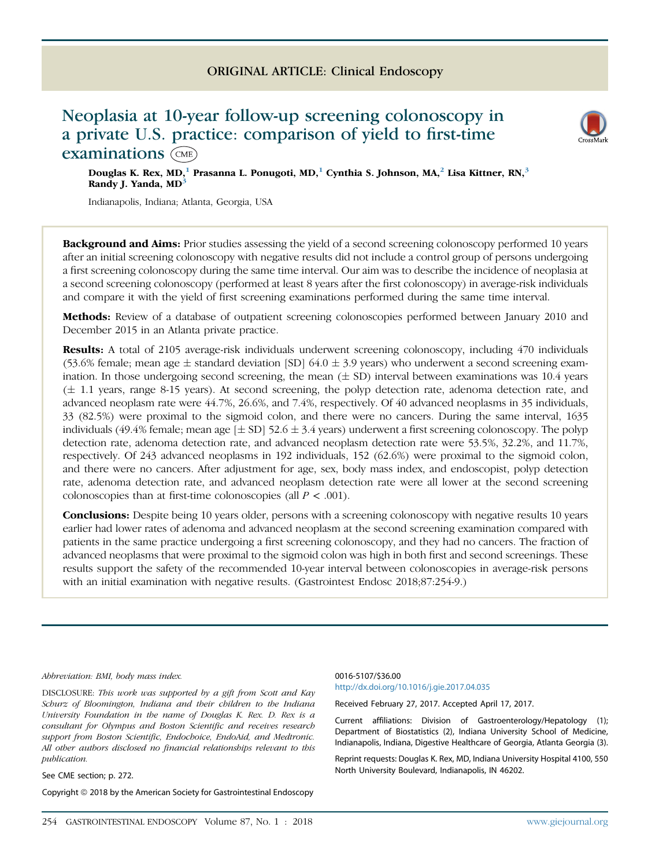## ORIGINAL ARTICLE: Clinical Endoscopy

# Neoplasia at 10-year follow-up screening colonoscopy in a private U.S. practice: comparison of yield to first-time examinations (CME)

Douglas K. Rex, MD,<sup>1</sup> Prasanna L. Ponugoti, MD,<sup>1</sup> Cynthia S. Johnson, MA,<sup>2</sup> Lisa Kittner, RN,<sup>3</sup> Randy J. Yanda, MD<sup>3</sup>

Indianapolis, Indiana; Atlanta, Georgia, USA

Background and Aims: Prior studies assessing the yield of a second screening colonoscopy performed 10 years after an initial screening colonoscopy with negative results did not include a control group of persons undergoing a first screening colonoscopy during the same time interval. Our aim was to describe the incidence of neoplasia at a second screening colonoscopy (performed at least 8 years after the first colonoscopy) in average-risk individuals and compare it with the yield of first screening examinations performed during the same time interval.

Methods: Review of a database of outpatient screening colonoscopies performed between January 2010 and December 2015 in an Atlanta private practice.

Results: A total of 2105 average-risk individuals underwent screening colonoscopy, including 470 individuals (53.6% female; mean age  $\pm$  standard deviation [SD] 64.0  $\pm$  3.9 years) who underwent a second screening examination. In those undergoing second screening, the mean  $(\pm$  SD) interval between examinations was 10.4 years  $(\pm 1.1$  years, range 8-15 years). At second screening, the polyp detection rate, adenoma detection rate, and advanced neoplasm rate were 44.7%, 26.6%, and 7.4%, respectively. Of 40 advanced neoplasms in 35 individuals, 33 (82.5%) were proximal to the sigmoid colon, and there were no cancers. During the same interval, 1635 individuals (49.4% female; mean age  $[\pm S D]$  52.6  $\pm$  3.4 years) underwent a first screening colonoscopy. The polyp detection rate, adenoma detection rate, and advanced neoplasm detection rate were 53.5%, 32.2%, and 11.7%, respectively. Of 243 advanced neoplasms in 192 individuals, 152 (62.6%) were proximal to the sigmoid colon, and there were no cancers. After adjustment for age, sex, body mass index, and endoscopist, polyp detection rate, adenoma detection rate, and advanced neoplasm detection rate were all lower at the second screening colonoscopies than at first-time colonoscopies (all  $P < .001$ ).

Conclusions: Despite being 10 years older, persons with a screening colonoscopy with negative results 10 years earlier had lower rates of adenoma and advanced neoplasm at the second screening examination compared with patients in the same practice undergoing a first screening colonoscopy, and they had no cancers. The fraction of advanced neoplasms that were proximal to the sigmoid colon was high in both first and second screenings. These results support the safety of the recommended 10-year interval between colonoscopies in average-risk persons with an initial examination with negative results. (Gastrointest Endosc 2018;87:254-9.)

Abbreviation: BMI, body mass index.

DISCLOSURE: This work was supported by a gift from Scott and Kay Schurz of Bloomington, Indiana and their children to the Indiana University Foundation in the name of Douglas K. Rex. D. Rex is a consultant for Olympus and Boston Scientific and receives research support from Boston Scientific, Endochoice, EndoAid, and Medtronic. All other authors disclosed no financial relationships relevant to this publication.

See CME section; p. 272.

Copyright © 2018 by the American Society for Gastrointestinal Endoscopy

#### 0016-5107/\$36.00 <http://dx.doi.org/10.1016/j.gie.2017.04.035>

Received February 27, 2017. Accepted April 17, 2017.

Current affiliations: Division of Gastroenterology/Hepatology (1); Department of Biostatistics (2), Indiana University School of Medicine, Indianapolis, Indiana, Digestive Healthcare of Georgia, Atlanta Georgia (3).

Reprint requests: Douglas K. Rex, MD, Indiana University Hospital 4100, 550 North University Boulevard, Indianapolis, IN 46202.

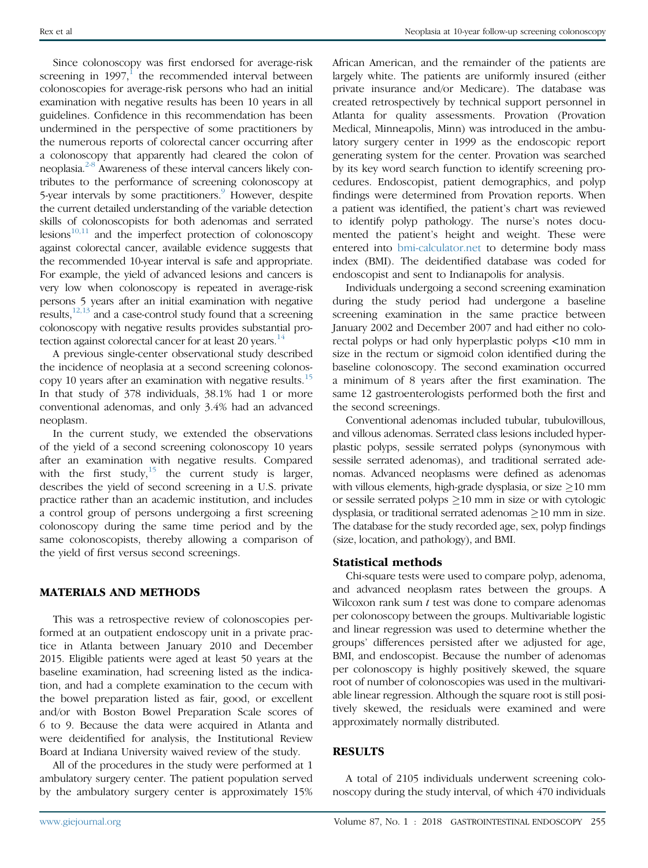Since colonoscopy was first endorsed for average-risk screening in  $1997$  $1997$ ,<sup>1</sup> the recommended interval between colonoscopies for average-risk persons who had an initial examination with negative results has been 10 years in all guidelines. Confidence in this recommendation has been undermined in the perspective of some practitioners by the numerous reports of colorectal cancer occurring after a colonoscopy that apparently had cleared the colon of neoplasia.<sup>[2-8](#page-5-0)</sup> Awareness of these interval cancers likely contributes to the performance of screening colonoscopy at 5-year intervals by some practitioners.<sup>[9](#page-5-0)</sup> However, despite the current detailed understanding of the variable detection skills of colonoscopists for both adenomas and serrated lesions $10,11$  and the imperfect protection of colonoscopy against colorectal cancer, available evidence suggests that the recommended 10-year interval is safe and appropriate. For example, the yield of advanced lesions and cancers is very low when colonoscopy is repeated in average-risk persons 5 years after an initial examination with negative results, $12,13$  and a case-control study found that a screening colonoscopy with negative results provides substantial pro-tection against colorectal cancer for at least 20 years.<sup>[14](#page-5-0)</sup>

A previous single-center observational study described the incidence of neoplasia at a second screening colonos-copy 10 years after an examination with negative results.<sup>[15](#page-5-0)</sup> In that study of 378 individuals, 38.1% had 1 or more conventional adenomas, and only 3.4% had an advanced neoplasm.

In the current study, we extended the observations of the yield of a second screening colonoscopy 10 years after an examination with negative results. Compared with the first study, $15$  the current study is larger, describes the yield of second screening in a U.S. private practice rather than an academic institution, and includes a control group of persons undergoing a first screening colonoscopy during the same time period and by the same colonoscopists, thereby allowing a comparison of the yield of first versus second screenings.

### MATERIALS AND METHODS

This was a retrospective review of colonoscopies performed at an outpatient endoscopy unit in a private practice in Atlanta between January 2010 and December 2015. Eligible patients were aged at least 50 years at the baseline examination, had screening listed as the indication, and had a complete examination to the cecum with the bowel preparation listed as fair, good, or excellent and/or with Boston Bowel Preparation Scale scores of 6 to 9. Because the data were acquired in Atlanta and were deidentified for analysis, the Institutional Review Board at Indiana University waived review of the study.

All of the procedures in the study were performed at 1 ambulatory surgery center. The patient population served by the ambulatory surgery center is approximately 15% African American, and the remainder of the patients are largely white. The patients are uniformly insured (either private insurance and/or Medicare). The database was created retrospectively by technical support personnel in Atlanta for quality assessments. Provation (Provation Medical, Minneapolis, Minn) was introduced in the ambulatory surgery center in 1999 as the endoscopic report generating system for the center. Provation was searched by its key word search function to identify screening procedures. Endoscopist, patient demographics, and polyp findings were determined from Provation reports. When a patient was identified, the patient's chart was reviewed to identify polyp pathology. The nurse's notes documented the patient's height and weight. These were entered into [bmi-calculator.net](http://bmi-calculator.net) to determine body mass index (BMI). The deidentified database was coded for endoscopist and sent to Indianapolis for analysis.

Individuals undergoing a second screening examination during the study period had undergone a baseline screening examination in the same practice between January 2002 and December 2007 and had either no colorectal polyps or had only hyperplastic polyps <10 mm in size in the rectum or sigmoid colon identified during the baseline colonoscopy. The second examination occurred a minimum of 8 years after the first examination. The same 12 gastroenterologists performed both the first and the second screenings.

Conventional adenomas included tubular, tubulovillous, and villous adenomas. Serrated class lesions included hyperplastic polyps, sessile serrated polyps (synonymous with sessile serrated adenomas), and traditional serrated adenomas. Advanced neoplasms were defined as adenomas with villous elements, high-grade dysplasia, or size  $\geq$ 10 mm or sessile serrated polyps  $\geq$  10 mm in size or with cytologic dysplasia, or traditional serrated adenomas  $\geq$ 10 mm in size. The database for the study recorded age, sex, polyp findings (size, location, and pathology), and BMI.

## Statistical methods

Chi-square tests were used to compare polyp, adenoma, and advanced neoplasm rates between the groups. A Wilcoxon rank sum  $t$  test was done to compare adenomas per colonoscopy between the groups. Multivariable logistic and linear regression was used to determine whether the groups' differences persisted after we adjusted for age, BMI, and endoscopist. Because the number of adenomas per colonoscopy is highly positively skewed, the square root of number of colonoscopies was used in the multivariable linear regression. Although the square root is still positively skewed, the residuals were examined and were approximately normally distributed.

## RESULTS

A total of 2105 individuals underwent screening colonoscopy during the study interval, of which 470 individuals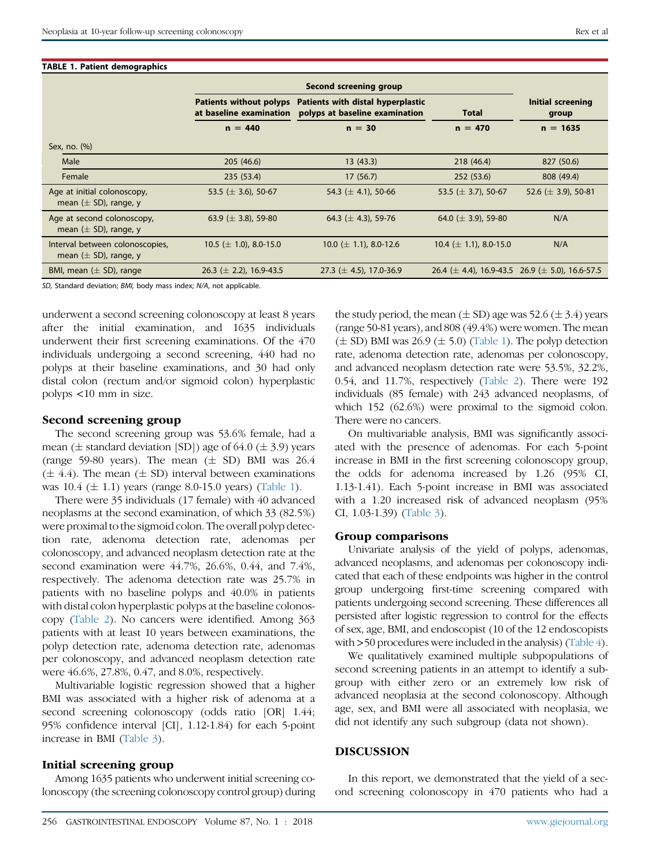#### TABLE 1. Patient demographics

|                                                              | Second screening group                                    |                                                                              |                             |                                                           |  |
|--------------------------------------------------------------|-----------------------------------------------------------|------------------------------------------------------------------------------|-----------------------------|-----------------------------------------------------------|--|
|                                                              | <b>Patients without polyps</b><br>at baseline examination | Patients with distal hyperplastic<br>polyps at baseline examination<br>Total |                             | Initial screening<br>group                                |  |
|                                                              | $n = 440$                                                 | $n = 30$                                                                     | $n = 470$                   | $n = 1635$                                                |  |
| Sex, no. (%)                                                 |                                                           |                                                                              |                             |                                                           |  |
| Male                                                         | 205(46.6)                                                 | 13(43.3)                                                                     | 218 (46.4)                  | 827 (50.6)                                                |  |
| Female                                                       | 235 (53.4)                                                | 17(56.7)                                                                     | 252 (53.6)                  | 808 (49.4)                                                |  |
| Age at initial colonoscopy,<br>mean $(\pm$ SD), range, y     | 53.5 ( $\pm$ 3.6), 50-67                                  | 54.3 ( $\pm$ 4.1), 50-66                                                     | 53.5 ( $\pm$ 3.7), 50-67    | 52.6 ( $\pm$ 3.9), 50-81                                  |  |
| Age at second colonoscopy,<br>mean $(\pm$ SD), range, y      | 63.9 ( $\pm$ 3.8), 59-80                                  | 64.3 ( $\pm$ 4.3), 59-76                                                     | 64.0 ( $\pm$ 3.9), 59-80    | N/A                                                       |  |
| Interval between colonoscopies,<br>mean $(\pm$ SD), range, y | 10.5 ( $\pm$ 1.0), 8.0-15.0                               | 10.0 ( $\pm$ 1.1), 8.0-12.6                                                  | 10.4 ( $\pm$ 1.1), 8.0-15.0 | N/A                                                       |  |
| BMI, mean $(\pm$ SD), range                                  | 26.3 ( $\pm$ 2.2), 16.9-43.5                              | 27.3 ( $\pm$ 4.5), 17.0-36.9                                                 |                             | 26.4 ( $\pm$ 4.4), 16.9-43.5 26.9 ( $\pm$ 5.0), 16.6-57.5 |  |

SD, Standard deviation; BMI, body mass index; N/A, not applicable.

underwent a second screening colonoscopy at least 8 years after the initial examination, and 1635 individuals underwent their first screening examinations. Of the 470 individuals undergoing a second screening, 440 had no polyps at their baseline examinations, and 30 had only distal colon (rectum and/or sigmoid colon) hyperplastic polyps <10 mm in size.

#### Second screening group

The second screening group was 53.6% female, had a mean ( $\pm$  standard deviation [SD]) age of 64.0 ( $\pm$  3.9) years (range 59-80 years). The mean  $(\pm$  SD) BMI was 26.4  $(\pm 4.4)$ . The mean  $(\pm SD)$  interval between examinations was  $10.4 \ (\pm 1.1)$  years (range 8.0-15.0 years) (Table 1).

There were 35 individuals (17 female) with 40 advanced neoplasms at the second examination, of which 33 (82.5%) were proximal to the sigmoid colon. The overall polyp detection rate, adenoma detection rate, adenomas per colonoscopy, and advanced neoplasm detection rate at the second examination were 44.7%, 26.6%, 0.44, and 7.4%, respectively. The adenoma detection rate was 25.7% in patients with no baseline polyps and 40.0% in patients with distal colon hyperplastic polyps at the baseline colonoscopy [\(Table 2\)](#page-3-0). No cancers were identified. Among 363 patients with at least 10 years between examinations, the polyp detection rate, adenoma detection rate, adenomas per colonoscopy, and advanced neoplasm detection rate were 46.6%, 27.8%, 0.47, and 8.0%, respectively.

Multivariable logistic regression showed that a higher BMI was associated with a higher risk of adenoma at a second screening colonoscopy (odds ratio [OR] 1.44; 95% confidence interval [CI], 1.12-1.84) for each 5-point increase in BMI [\(Table 3](#page-3-0)).

#### Initial screening group

Among 1635 patients who underwent initial screening colonoscopy (the screening colonoscopy control group) during the study period, the mean  $(\pm SD)$  age was 52.6  $(\pm 3.4)$  years (range 50-81 years), and 808 (49.4%) were women. The mean  $(\pm S)$  BMI was 26.9 ( $\pm$  5.0) (Table 1). The polyp detection rate, adenoma detection rate, adenomas per colonoscopy, and advanced neoplasm detection rate were 53.5%, 32.2%, 0.54, and 11.7%, respectively [\(Table 2\)](#page-3-0). There were 192 individuals (85 female) with 243 advanced neoplasms, of which 152 (62.6%) were proximal to the sigmoid colon. There were no cancers.

On multivariable analysis, BMI was significantly associated with the presence of adenomas. For each 5-point increase in BMI in the first screening colonoscopy group, the odds for adenoma increased by 1.26 (95% CI, 1.13-1.41). Each 5-point increase in BMI was associated with a 1.20 increased risk of advanced neoplasm (95% CI, 1.03-1.39) [\(Table 3](#page-3-0)).

#### Group comparisons

Univariate analysis of the yield of polyps, adenomas, advanced neoplasms, and adenomas per colonoscopy indicated that each of these endpoints was higher in the control group undergoing first-time screening compared with patients undergoing second screening. These differences all persisted after logistic regression to control for the effects of sex, age, BMI, and endoscopist (10 of the 12 endoscopists with >50 procedures were included in the analysis) ([Table 4\)](#page-4-0).

We qualitatively examined multiple subpopulations of second screening patients in an attempt to identify a subgroup with either zero or an extremely low risk of advanced neoplasia at the second colonoscopy. Although age, sex, and BMI were all associated with neoplasia, we did not identify any such subgroup (data not shown).

#### DISCUSSION

In this report, we demonstrated that the yield of a second screening colonoscopy in 470 patients who had a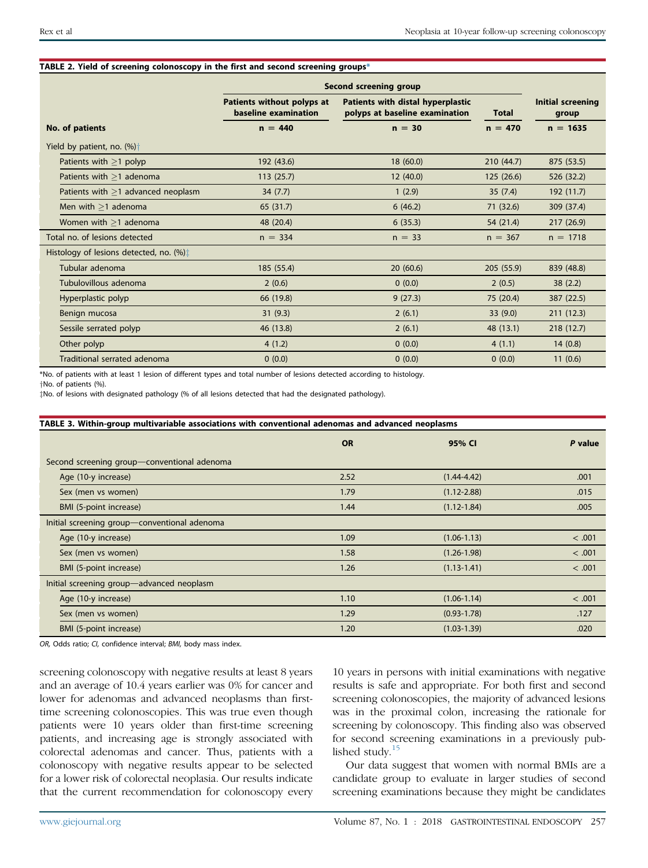|                                             | Second screening group                             |                                                                     |              |            |
|---------------------------------------------|----------------------------------------------------|---------------------------------------------------------------------|--------------|------------|
|                                             | Patients without polyps at<br>baseline examination | Patients with distal hyperplastic<br>polyps at baseline examination | <b>Total</b> |            |
| No. of patients                             | $n = 30$<br>$n = 440$                              |                                                                     | $n = 470$    | $n = 1635$ |
| Yield by patient, no. $(\%)\dagger$         |                                                    |                                                                     |              |            |
| Patients with $>1$ polyp                    | 192 (43.6)                                         | 18(60.0)                                                            | 210(44.7)    | 875 (53.5) |
| Patients with $>1$ adenoma                  | 113(25.7)                                          | 12(40.0)                                                            | 125 (26.6)   | 526 (32.2) |
| Patients with $>1$ advanced neoplasm        | 34(7.7)                                            | 1(2.9)                                                              | 35(7.4)      | 192 (11.7) |
| Men with $>1$ adenoma                       | 65 (31.7)                                          | 6(46.2)                                                             | 71 (32.6)    | 309 (37.4) |
| Women with $\geq$ 1 adenoma                 | 48 (20.4)                                          | 6(35.3)                                                             | 54 (21.4)    | 217(26.9)  |
| Total no. of lesions detected               | $n = 334$                                          | $n = 33$                                                            | $n = 367$    | $n = 1718$ |
| Histology of lesions detected, no. $(\%)$ : |                                                    |                                                                     |              |            |
| Tubular adenoma                             | 185 (55.4)                                         | 20(60.6)                                                            | 205 (55.9)   | 839 (48.8) |
| Tubulovillous adenoma                       | 2(0.6)                                             | 0(0.0)                                                              | 2(0.5)       | 38(2.2)    |
| Hyperplastic polyp                          | 66 (19.8)                                          | 9(27.3)                                                             | 75 (20.4)    | 387 (22.5) |
| Benign mucosa                               | 31(9.3)                                            | 2(6.1)                                                              | 33(9.0)      | 211(12.3)  |
| Sessile serrated polyp                      | 46 (13.8)                                          | 2(6.1)                                                              | 48 (13.1)    | 218 (12.7) |
| Other polyp                                 | 4(1.2)                                             | 0(0.0)                                                              | 4(1.1)       | 14(0.8)    |
| Traditional serrated adenoma                | 0(0.0)                                             | 0(0.0)                                                              | 0(0.0)       | 11(0.6)    |

#### <span id="page-3-0"></span>TABLE 2. Yield of screening colonoscopy in the first and second screening groups\*

\*No. of patients with at least 1 lesion of different types and total number of lesions detected according to histology.

yNo. of patients (%).

zNo. of lesions with designated pathology (% of all lesions detected that had the designated pathology).

| TABLE 3. Within-group multivariable associations with conventional adenomas and advanced neoplasms |           |                 |         |  |
|----------------------------------------------------------------------------------------------------|-----------|-----------------|---------|--|
|                                                                                                    | <b>OR</b> | 95% CI          | P value |  |
| Second screening group-conventional adenoma                                                        |           |                 |         |  |
| Age (10-y increase)                                                                                | 2.52      | $(1.44 - 4.42)$ | .001    |  |
| Sex (men vs women)                                                                                 | 1.79      | $(1.12 - 2.88)$ | .015    |  |
| BMI (5-point increase)                                                                             | 1.44      | $(1.12 - 1.84)$ | .005    |  |
| Initial screening group-conventional adenoma                                                       |           |                 |         |  |
| Age (10-y increase)                                                                                | 1.09      | $(1.06 - 1.13)$ | < .001  |  |
| Sex (men vs women)                                                                                 | 1.58      | $(1.26 - 1.98)$ | < .001  |  |
| BMI (5-point increase)                                                                             | 1.26      | $(1.13 - 1.41)$ | < .001  |  |
| Initial screening group-advanced neoplasm                                                          |           |                 |         |  |
| Age (10-y increase)                                                                                | 1.10      | $(1.06 - 1.14)$ | < .001  |  |
| Sex (men vs women)                                                                                 | 1.29      | $(0.93 - 1.78)$ | .127    |  |
| BMI (5-point increase)                                                                             | 1.20      | $(1.03 - 1.39)$ | .020    |  |

OR, Odds ratio; CI, confidence interval; BMI, body mass index.

screening colonoscopy with negative results at least 8 years and an average of 10.4 years earlier was 0% for cancer and lower for adenomas and advanced neoplasms than firsttime screening colonoscopies. This was true even though patients were 10 years older than first-time screening patients, and increasing age is strongly associated with colorectal adenomas and cancer. Thus, patients with a colonoscopy with negative results appear to be selected for a lower risk of colorectal neoplasia. Our results indicate that the current recommendation for colonoscopy every 10 years in persons with initial examinations with negative results is safe and appropriate. For both first and second screening colonoscopies, the majority of advanced lesions was in the proximal colon, increasing the rationale for screening by colonoscopy. This finding also was observed for second screening examinations in a previously pub-lished study.<sup>[15](#page-5-0)</sup>

Our data suggest that women with normal BMIs are a candidate group to evaluate in larger studies of second screening examinations because they might be candidates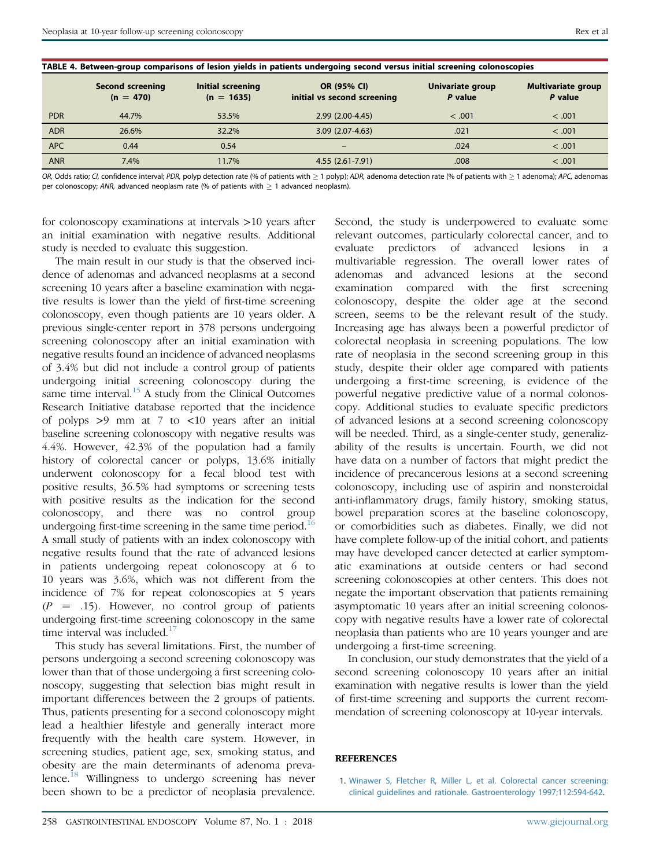<span id="page-4-0"></span>

| TABLE 4. Between-group comparisons of lesion yields in patients undergoing second versus initial screening colonoscopies |                                        |                                   |                                            |                             |                                      |
|--------------------------------------------------------------------------------------------------------------------------|----------------------------------------|-----------------------------------|--------------------------------------------|-----------------------------|--------------------------------------|
|                                                                                                                          | <b>Second screening</b><br>$(n = 470)$ | Initial screening<br>$(n = 1635)$ | OR (95% CI)<br>initial vs second screening | Univariate group<br>P value | <b>Multivariate group</b><br>P value |
| <b>PDR</b>                                                                                                               | 44.7%                                  | 53.5%                             | $2.99(2.00-4.45)$                          | < .001                      | < .001                               |
| <b>ADR</b>                                                                                                               | 26.6%                                  | 32.2%                             | $3.09(2.07-4.63)$                          | .021                        | < .001                               |
| <b>APC</b>                                                                                                               | 0.44                                   | 0.54                              |                                            | .024                        | < .001                               |
| <b>ANR</b>                                                                                                               | 7.4%                                   | 11.7%                             | 4.55 (2.61-7.91)                           | .008                        | < .001                               |

OR, Odds ratio; CI, confidence interval; PDR, polyp detection rate (% of patients with  $\geq 1$  polyp); ADR, adenoma detection rate (% of patients with  $\geq 1$  adenoma); APC, adenomas per colonoscopy; ANR, advanced neoplasm rate (% of patients with  $> 1$  advanced neoplasm).

for colonoscopy examinations at intervals >10 years after an initial examination with negative results. Additional study is needed to evaluate this suggestion.

The main result in our study is that the observed incidence of adenomas and advanced neoplasms at a second screening 10 years after a baseline examination with negative results is lower than the yield of first-time screening colonoscopy, even though patients are 10 years older. A previous single-center report in 378 persons undergoing screening colonoscopy after an initial examination with negative results found an incidence of advanced neoplasms of 3.4% but did not include a control group of patients undergoing initial screening colonoscopy during the same time interval. $^{15}$  $^{15}$  $^{15}$  A study from the Clinical Outcomes Research Initiative database reported that the incidence of polyps >9 mm at 7 to <10 years after an initial baseline screening colonoscopy with negative results was 4.4%. However, 42.3% of the population had a family history of colorectal cancer or polyps, 13.6% initially underwent colonoscopy for a fecal blood test with positive results, 36.5% had symptoms or screening tests with positive results as the indication for the second colonoscopy, and there was no control group undergoing first-time screening in the same time period.<sup>[16](#page-5-0)</sup> A small study of patients with an index colonoscopy with negative results found that the rate of advanced lesions in patients undergoing repeat colonoscopy at 6 to 10 years was 3.6%, which was not different from the incidence of 7% for repeat colonoscopies at 5 years  $(P = .15)$ . However, no control group of patients undergoing first-time screening colonoscopy in the same time interval was included. $17$ 

This study has several limitations. First, the number of persons undergoing a second screening colonoscopy was lower than that of those undergoing a first screening colonoscopy, suggesting that selection bias might result in important differences between the 2 groups of patients. Thus, patients presenting for a second colonoscopy might lead a healthier lifestyle and generally interact more frequently with the health care system. However, in screening studies, patient age, sex, smoking status, and obesity are the main determinants of adenoma prevalence.[18](#page-5-0) Willingness to undergo screening has never been shown to be a predictor of neoplasia prevalence.

Second, the study is underpowered to evaluate some relevant outcomes, particularly colorectal cancer, and to evaluate predictors of advanced lesions in a multivariable regression. The overall lower rates of adenomas and advanced lesions at the second examination compared with the first screening colonoscopy, despite the older age at the second screen, seems to be the relevant result of the study. Increasing age has always been a powerful predictor of colorectal neoplasia in screening populations. The low rate of neoplasia in the second screening group in this study, despite their older age compared with patients undergoing a first-time screening, is evidence of the powerful negative predictive value of a normal colonoscopy. Additional studies to evaluate specific predictors of advanced lesions at a second screening colonoscopy will be needed. Third, as a single-center study, generalizability of the results is uncertain. Fourth, we did not have data on a number of factors that might predict the incidence of precancerous lesions at a second screening colonoscopy, including use of aspirin and nonsteroidal anti-inflammatory drugs, family history, smoking status, bowel preparation scores at the baseline colonoscopy, or comorbidities such as diabetes. Finally, we did not have complete follow-up of the initial cohort, and patients may have developed cancer detected at earlier symptomatic examinations at outside centers or had second screening colonoscopies at other centers. This does not negate the important observation that patients remaining asymptomatic 10 years after an initial screening colonoscopy with negative results have a lower rate of colorectal neoplasia than patients who are 10 years younger and are undergoing a first-time screening.

In conclusion, our study demonstrates that the yield of a second screening colonoscopy 10 years after an initial examination with negative results is lower than the yield of first-time screening and supports the current recommendation of screening colonoscopy at 10-year intervals.

#### **REFERENCES**

1. [Winawer S, Fletcher R, Miller L, et al. Colorectal cancer screening:](http://refhub.elsevier.com/S0016-5107(17)31860-6/sref1) [clinical guidelines and rationale. Gastroenterology 1997;112:594-642](http://refhub.elsevier.com/S0016-5107(17)31860-6/sref1).